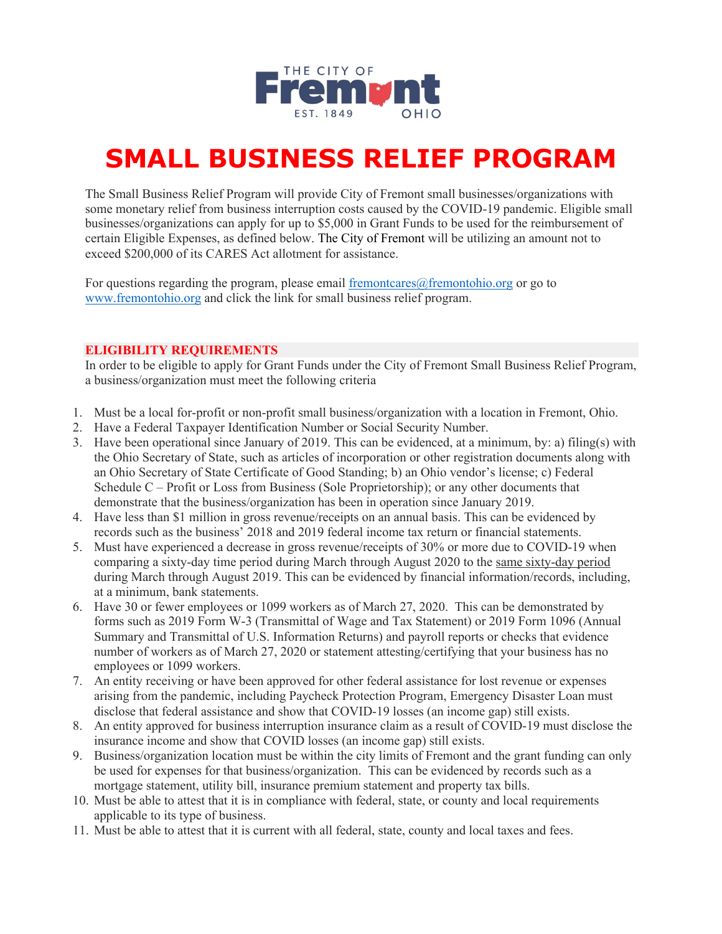

# **SMALL BUSINESS RELIEF PROGRAM**

The Small Business Relief Program will provide City of Fremont small businesses/organizations with some monetary relief from business interruption costs caused by the COVID-19 pandemic. Eligible small businesses/organizations can apply for up to \$5,000 in Grant Funds to be used for the reimbursement of certain Eligible Expenses, as defined below. The City of Fremont will be utilizing an amount not to exceed \$200,000 of its CARES Act allotment for assistance.

For questions regarding the program, please email fremontcares $@$ fremontohio.org or go to www.fremontohio.org and click the link for small business relief program.

# **ELIGIBILITY REQUIREMENTS**

In order to be eligible to apply for Grant Funds under the City of Fremont Small Business Relief Program, a business/organization must meet the following criteria

- 1. Must be a local for-profit or non-profit small business/organization with a location in Fremont, Ohio.
- 2. Have a Federal Taxpayer Identification Number or Social Security Number.
- 3. Have been operational since January of 2019. This can be evidenced, at a minimum, by: a) filing(s) with the Ohio Secretary of State, such as articles of incorporation or other registration documents along with an Ohio Secretary of State Certificate of Good Standing; b) an Ohio vendor's license; c) Federal Schedule C – Profit or Loss from Business (Sole Proprietorship); or any other documents that demonstrate that the business/organization has been in operation since January 2019.
- 4. Have less than \$1 million in gross revenue/receipts on an annual basis. This can be evidenced by records such as the business' 2018 and 2019 federal income tax return or financial statements.
- 5. Must have experienced a decrease in gross revenue/receipts of 30% or more due to COVID-19 when comparing a sixty-day time period during March through August 2020 to the same sixty-day period during March through August 2019. This can be evidenced by financial information/records, including, at a minimum, bank statements.
- 6. Have 30 or fewer employees or 1099 workers as of March 27, 2020. This can be demonstrated by forms such as 2019 Form W-3 (Transmittal of Wage and Tax Statement) or 2019 Form 1096 (Annual Summary and Transmittal of U.S. Information Returns) and payroll reports or checks that evidence number of workers as of March 27, 2020 or statement attesting/certifying that your business has no employees or 1099 workers.
- 7. An entity receiving or have been approved for other federal assistance for lost revenue or expenses arising from the pandemic, including Paycheck Protection Program, Emergency Disaster Loan must disclose that federal assistance and show that COVID-19 losses (an income gap) still exists.
- 8. An entity approved for business interruption insurance claim as a result of COVID-19 must disclose the insurance income and show that COVID losses (an income gap) still exists.
- 9. Business/organization location must be within the city limits of Fremont and the grant funding can only be used for expenses for that business/organization. This can be evidenced by records such as a mortgage statement, utility bill, insurance premium statement and property tax bills.
- 10. Must be able to attest that it is in compliance with federal, state, or county and local requirements applicable to its type of business.
- 11. Must be able to attest that it is current with all federal, state, county and local taxes and fees.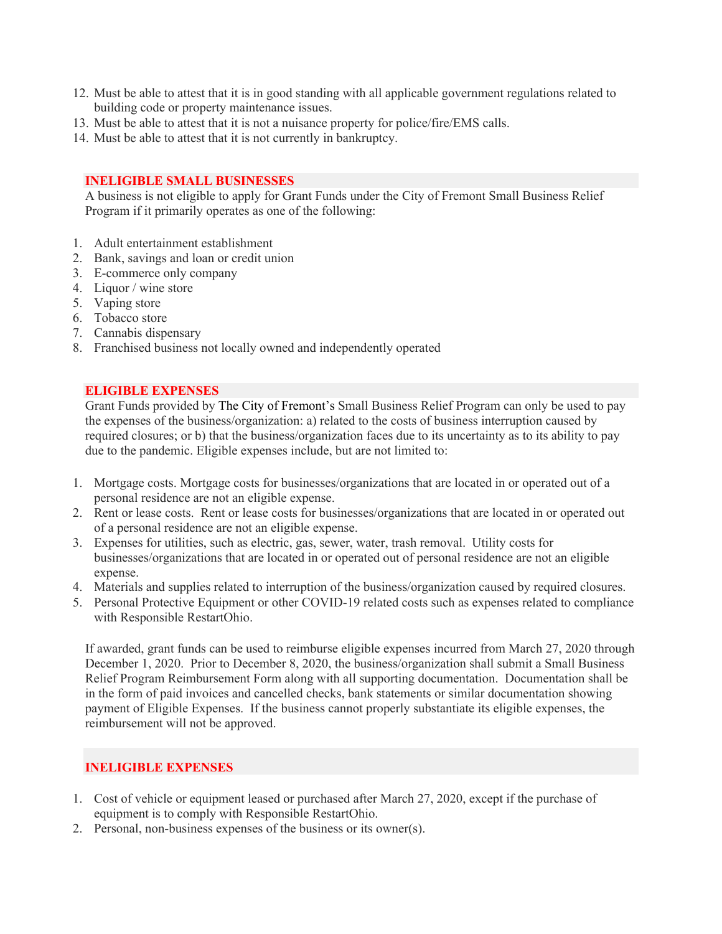- 12. Must be able to attest that it is in good standing with all applicable government regulations related to building code or property maintenance issues.
- 13. Must be able to attest that it is not a nuisance property for police/fire/EMS calls.
- 14. Must be able to attest that it is not currently in bankruptcy.

#### **INELIGIBLE SMALL BUSINESSES**

A business is not eligible to apply for Grant Funds under the City of Fremont Small Business Relief Program if it primarily operates as one of the following:

- 1. Adult entertainment establishment
- 2. Bank, savings and loan or credit union
- 3. E-commerce only company
- 4. Liquor / wine store
- 5. Vaping store
- 6. Tobacco store
- 7. Cannabis dispensary
- 8. Franchised business not locally owned and independently operated

#### **ELIGIBLE EXPENSES**

Grant Funds provided by The City of Fremont's Small Business Relief Program can only be used to pay the expenses of the business/organization: a) related to the costs of business interruption caused by required closures; or b) that the business/organization faces due to its uncertainty as to its ability to pay due to the pandemic. Eligible expenses include, but are not limited to:

- 1. Mortgage costs. Mortgage costs for businesses/organizations that are located in or operated out of a personal residence are not an eligible expense.
- 2. Rent or lease costs. Rent or lease costs for businesses/organizations that are located in or operated out of a personal residence are not an eligible expense.
- 3. Expenses for utilities, such as electric, gas, sewer, water, trash removal. Utility costs for businesses/organizations that are located in or operated out of personal residence are not an eligible expense.
- 4. Materials and supplies related to interruption of the business/organization caused by required closures.
- 5. Personal Protective Equipment or other COVID-19 related costs such as expenses related to compliance with Responsible RestartOhio.

If awarded, grant funds can be used to reimburse eligible expenses incurred from March 27, 2020 through December 1, 2020. Prior to December 8, 2020, the business/organization shall submit a Small Business Relief Program Reimbursement Form along with all supporting documentation. Documentation shall be in the form of paid invoices and cancelled checks, bank statements or similar documentation showing payment of Eligible Expenses. If the business cannot properly substantiate its eligible expenses, the reimbursement will not be approved.

# **INELIGIBLE EXPENSES**

- 1. Cost of vehicle or equipment leased or purchased after March 27, 2020, except if the purchase of equipment is to comply with Responsible RestartOhio.
- 2. Personal, non-business expenses of the business or its owner(s).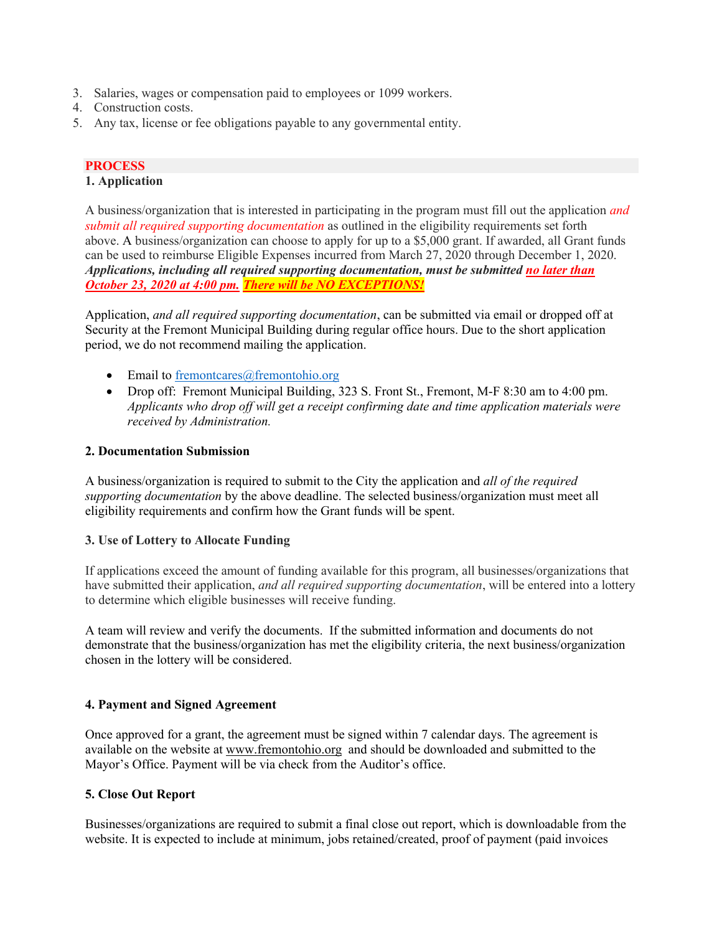- 3. Salaries, wages or compensation paid to employees or 1099 workers.
- 4. Construction costs.
- 5. Any tax, license or fee obligations payable to any governmental entity.

# **PROCESS**

#### **1. Application**

A business/organization that is interested in participating in the program must fill out the application *and submit all required supporting documentation* as outlined in the eligibility requirements set forth above. A business/organization can choose to apply for up to a \$5,000 grant. If awarded, all Grant funds can be used to reimburse Eligible Expenses incurred from March 27, 2020 through December 1, 2020. *Applications, including all required supporting documentation, must be submitted no later than October 23, 2020 at 4:00 pm. There will be NO EXCEPTIONS!*

Application, *and all required supporting documentation*, can be submitted via email or dropped off at Security at the Fremont Municipal Building during regular office hours. Due to the short application period, we do not recommend mailing the application.

- Email to fremontcares@fremontohio.org
- Drop off: Fremont Municipal Building, 323 S. Front St., Fremont, M-F 8:30 am to 4:00 pm. *Applicants who drop off will get a receipt confirming date and time application materials were received by Administration.*

# **2. Documentation Submission**

A business/organization is required to submit to the City the application and *all of the required supporting documentation* by the above deadline. The selected business/organization must meet all eligibility requirements and confirm how the Grant funds will be spent.

# **3. Use of Lottery to Allocate Funding**

If applications exceed the amount of funding available for this program, all businesses/organizations that have submitted their application, *and all required supporting documentation*, will be entered into a lottery to determine which eligible businesses will receive funding.

A team will review and verify the documents. If the submitted information and documents do not demonstrate that the business/organization has met the eligibility criteria, the next business/organization chosen in the lottery will be considered.

# **4. Payment and Signed Agreement**

Once approved for a grant, the agreement must be signed within 7 calendar days. The agreement is available on the website at www.fremontohio.org and should be downloaded and submitted to the Mayor's Office. Payment will be via check from the Auditor's office.

# **5. Close Out Report**

Businesses/organizations are required to submit a final close out report, which is downloadable from the website. It is expected to include at minimum, jobs retained/created, proof of payment (paid invoices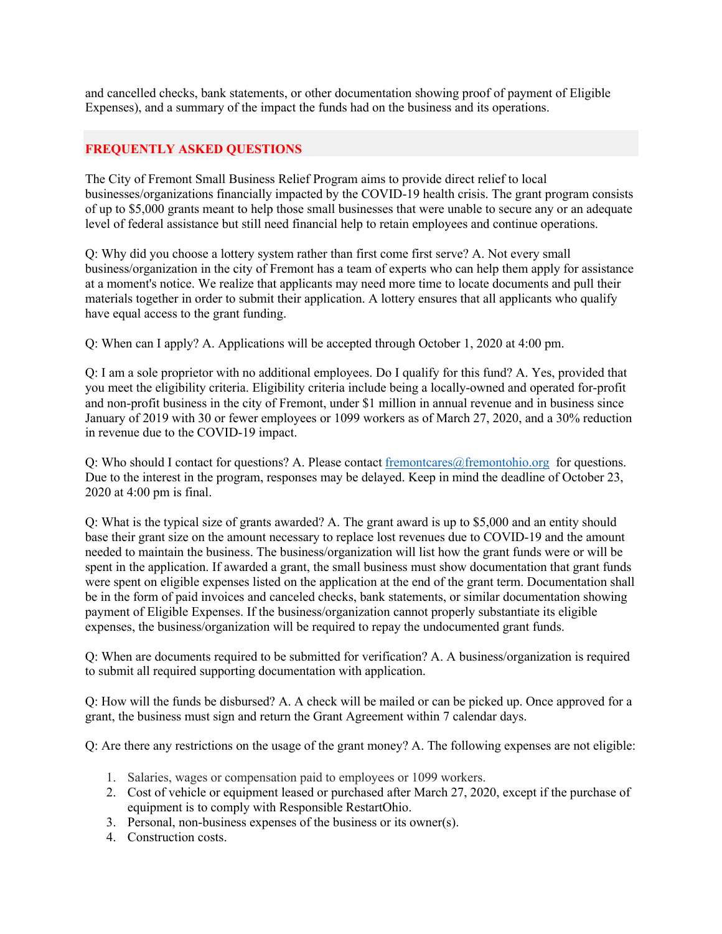and cancelled checks, bank statements, or other documentation showing proof of payment of Eligible Expenses), and a summary of the impact the funds had on the business and its operations.

# **FREQUENTLY ASKED QUESTIONS**

The City of Fremont Small Business Relief Program aims to provide direct relief to local businesses/organizations financially impacted by the COVID-19 health crisis. The grant program consists of up to \$5,000 grants meant to help those small businesses that were unable to secure any or an adequate level of federal assistance but still need financial help to retain employees and continue operations.

Q: Why did you choose a lottery system rather than first come first serve? A. Not every small business/organization in the city of Fremont has a team of experts who can help them apply for assistance at a moment's notice. We realize that applicants may need more time to locate documents and pull their materials together in order to submit their application. A lottery ensures that all applicants who qualify have equal access to the grant funding.

Q: When can I apply? A. Applications will be accepted through October 1, 2020 at 4:00 pm.

Q: I am a sole proprietor with no additional employees. Do I qualify for this fund? A. Yes, provided that you meet the eligibility criteria. Eligibility criteria include being a locally-owned and operated for-profit and non-profit business in the city of Fremont, under \$1 million in annual revenue and in business since January of 2019 with 30 or fewer employees or 1099 workers as of March 27, 2020, and a 30% reduction in revenue due to the COVID-19 impact.

Q: Who should I contact for questions? A. Please contact fremontcares@fremontohio.org for questions. Due to the interest in the program, responses may be delayed. Keep in mind the deadline of October 23, 2020 at 4:00 pm is final.

Q: What is the typical size of grants awarded? A. The grant award is up to \$5,000 and an entity should base their grant size on the amount necessary to replace lost revenues due to COVID-19 and the amount needed to maintain the business. The business/organization will list how the grant funds were or will be spent in the application. If awarded a grant, the small business must show documentation that grant funds were spent on eligible expenses listed on the application at the end of the grant term. Documentation shall be in the form of paid invoices and canceled checks, bank statements, or similar documentation showing payment of Eligible Expenses. If the business/organization cannot properly substantiate its eligible expenses, the business/organization will be required to repay the undocumented grant funds.

Q: When are documents required to be submitted for verification? A. A business/organization is required to submit all required supporting documentation with application.

Q: How will the funds be disbursed? A. A check will be mailed or can be picked up. Once approved for a grant, the business must sign and return the Grant Agreement within 7 calendar days.

Q: Are there any restrictions on the usage of the grant money? A. The following expenses are not eligible:

- 1. Salaries, wages or compensation paid to employees or 1099 workers.
- 2. Cost of vehicle or equipment leased or purchased after March 27, 2020, except if the purchase of equipment is to comply with Responsible RestartOhio.
- 3. Personal, non-business expenses of the business or its owner(s).
- 4. Construction costs.